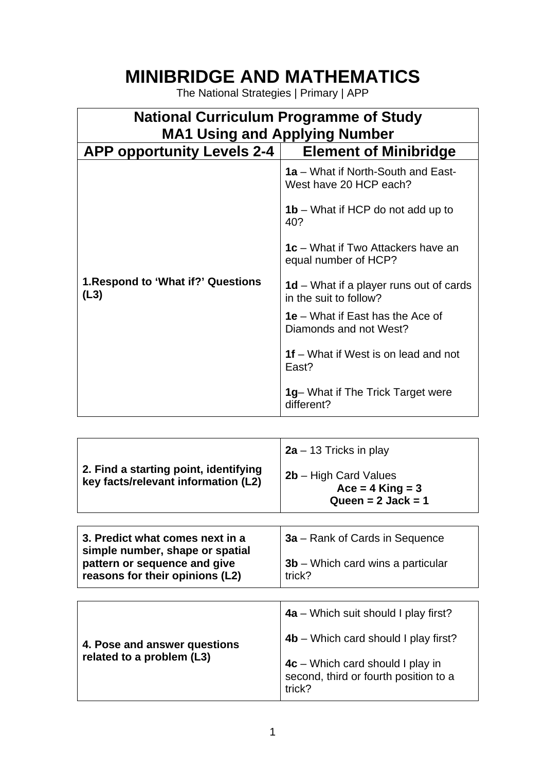## **MINIBRIDGE AND MATHEMATICS**

The National Strategies | Primary | APP

| <b>National Curriculum Programme of Study</b><br><b>MA1 Using and Applying Number</b> |                                                                          |
|---------------------------------------------------------------------------------------|--------------------------------------------------------------------------|
| <b>APP opportunity Levels 2-4</b>                                                     | <b>Element of Minibridge</b>                                             |
|                                                                                       | 1a – What if North-South and East-<br>West have 20 HCP each?             |
|                                                                                       | <b>1b</b> – What if HCP do not add up to<br>40?                          |
|                                                                                       | <b>1c</b> – What if Two Attackers have an<br>equal number of HCP?        |
| 1. Respond to 'What if?' Questions<br>(L3)                                            | <b>1d</b> – What if a player runs out of cards<br>in the suit to follow? |
|                                                                                       | <b>1e</b> – What if East has the Ace of<br>Diamonds and not West?        |
|                                                                                       | 1f – What if West is on lead and not<br>East?                            |
|                                                                                       | 1g- What if The Trick Target were<br>different?                          |

| 2. Find a starting point, identifying<br>key facts/relevant information (L2)                                                          | $2a - 13$ Tricks in play<br>$2b$ – High Card Values<br>$Acc = 4$ King = 3<br>Queen = $2$ Jack = 1                                                                         |
|---------------------------------------------------------------------------------------------------------------------------------------|---------------------------------------------------------------------------------------------------------------------------------------------------------------------------|
| 3. Predict what comes next in a<br>simple number, shape or spatial<br>pattern or sequence and give<br>reasons for their opinions (L2) | <b>3a</b> – Rank of Cards in Sequence<br>$3b$ – Which card wins a particular<br>trick?                                                                                    |
| 4. Pose and answer questions<br>related to a problem (L3)                                                                             | $4a$ – Which suit should I play first?<br>$4b$ – Which card should I play first?<br>$4c$ – Which card should I play in<br>second, third or fourth position to a<br>trick? |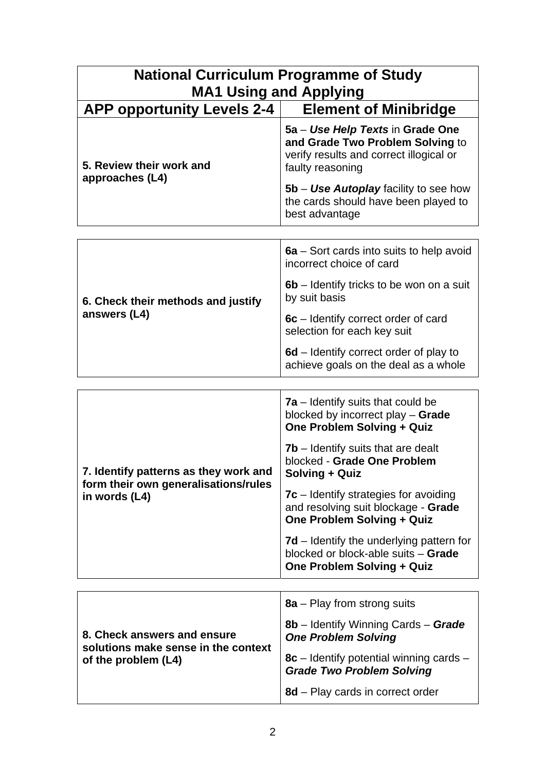| <b>National Curriculum Programme of Study</b><br><b>MA1 Using and Applying</b> |                                                                                                                                     |  |
|--------------------------------------------------------------------------------|-------------------------------------------------------------------------------------------------------------------------------------|--|
| <b>APP opportunity Levels 2-4</b>                                              | <b>Element of Minibridge</b>                                                                                                        |  |
| 5. Review their work and<br>approaches (L4)                                    | 5a – Use Help Texts in Grade One<br>and Grade Two Problem Solving to<br>verify results and correct illogical or<br>faulty reasoning |  |
|                                                                                | 5b – Use Autoplay facility to see how<br>the cards should have been played to<br>best advantage                                     |  |
|                                                                                |                                                                                                                                     |  |
|                                                                                | Sort carde into quite to bolp quoid<br>cа.                                                                                          |  |

| 6. Check their methods and justify<br>answers (L4) | 6a – Sort cards into suits to help avoid<br>incorrect choice of card           |
|----------------------------------------------------|--------------------------------------------------------------------------------|
|                                                    | 6b – Identify tricks to be won on a suit<br>by suit basis                      |
|                                                    | 6c – Identify correct order of card<br>selection for each key suit             |
|                                                    | 6d – Identify correct order of play to<br>achieve goals on the deal as a whole |

| 7. Identify patterns as they work and<br>form their own generalisations/rules<br>in words (L4) | $7a$ – Identify suits that could be<br>blocked by incorrect play - Grade<br>One Problem Solving + Quiz               |
|------------------------------------------------------------------------------------------------|----------------------------------------------------------------------------------------------------------------------|
|                                                                                                | <b>7b</b> – Identify suits that are dealt<br>blocked - Grade One Problem<br>Solving + Quiz                           |
|                                                                                                | $7c$ – Identify strategies for avoiding<br>and resolving suit blockage - Grade<br>One Problem Solving + Quiz         |
|                                                                                                | <b>7d</b> – Identify the underlying pattern for<br>blocked or block-able suits - Grade<br>One Problem Solving + Quiz |

| 8. Check answers and ensure<br>solutions make sense in the context<br>of the problem (L4) | $8a$ – Play from strong suits                                        |
|-------------------------------------------------------------------------------------------|----------------------------------------------------------------------|
|                                                                                           | 8b – Identify Winning Cards – Grade<br><b>One Problem Solving</b>    |
|                                                                                           | 8c – Identify potential winning cards –<br>Grade Two Problem Solving |
|                                                                                           | 8d - Play cards in correct order                                     |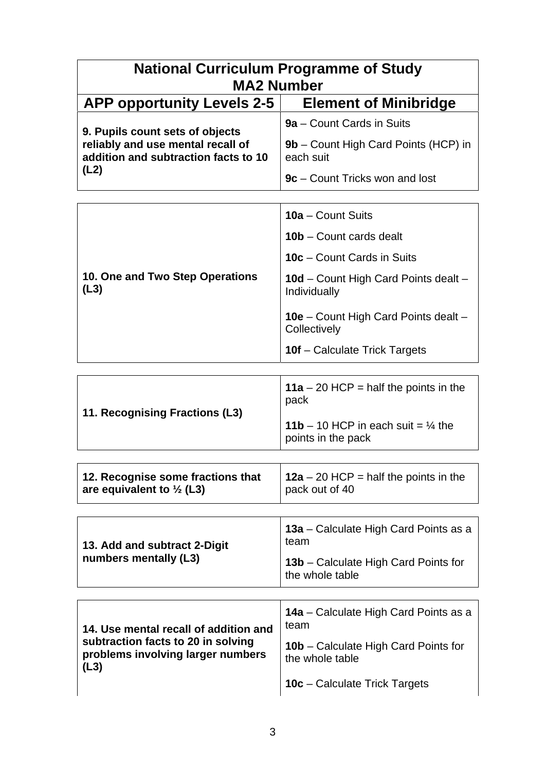| <b>National Curriculum Programme of Study</b><br><b>MA2 Number</b>                                           |                                                                     |  |
|--------------------------------------------------------------------------------------------------------------|---------------------------------------------------------------------|--|
| <b>APP opportunity Levels 2-5</b>                                                                            | <b>Element of Minibridge</b>                                        |  |
| 9. Pupils count sets of objects<br>reliably and use mental recall of<br>addition and subtraction facts to 10 | 9a – Count Cards in Suits                                           |  |
|                                                                                                              | 9b – Count High Card Points (HCP) in<br>each suit                   |  |
| (L2)                                                                                                         | 9c – Count Tricks won and lost                                      |  |
|                                                                                                              |                                                                     |  |
|                                                                                                              | 10a – Count Suits                                                   |  |
|                                                                                                              | 10b - Count cards dealt                                             |  |
|                                                                                                              | 10c - Count Cards in Suits                                          |  |
| 10. One and Two Step Operations<br>(L3)                                                                      | 10d - Count High Card Points dealt -<br>Individually                |  |
|                                                                                                              | <b>10e</b> – Count High Card Points dealt –<br>Collectively         |  |
|                                                                                                              | <b>10f</b> – Calculate Trick Targets                                |  |
|                                                                                                              |                                                                     |  |
| 11. Recognising Fractions (L3)                                                                               | <b>11a</b> – 20 HCP = half the points in the<br>pack                |  |
|                                                                                                              | 11b – 10 HCP in each suit = $\frac{1}{4}$ the<br>points in the pack |  |
|                                                                                                              |                                                                     |  |
| 12. Recognise some fractions that<br>are equivalent to $\frac{1}{2}$ (L3)                                    | 12a – 20 HCP = half the points in the<br>pack out of 40             |  |
|                                                                                                              |                                                                     |  |
| 13. Add and subtract 2-Digit<br>numbers mentally (L3)                                                        | 13a – Calculate High Card Points as a<br>team                       |  |
|                                                                                                              | 13b – Calculate High Card Points for<br>the whole table             |  |

| 14. Use mental recall of addition and                                           | 14a - Calculate High Card Points as a<br>team                  |
|---------------------------------------------------------------------------------|----------------------------------------------------------------|
| subtraction facts to 20 in solving<br>problems involving larger numbers<br>(L3) | <b>10b</b> – Calculate High Card Points for<br>the whole table |
|                                                                                 | 10c - Calculate Trick Targets                                  |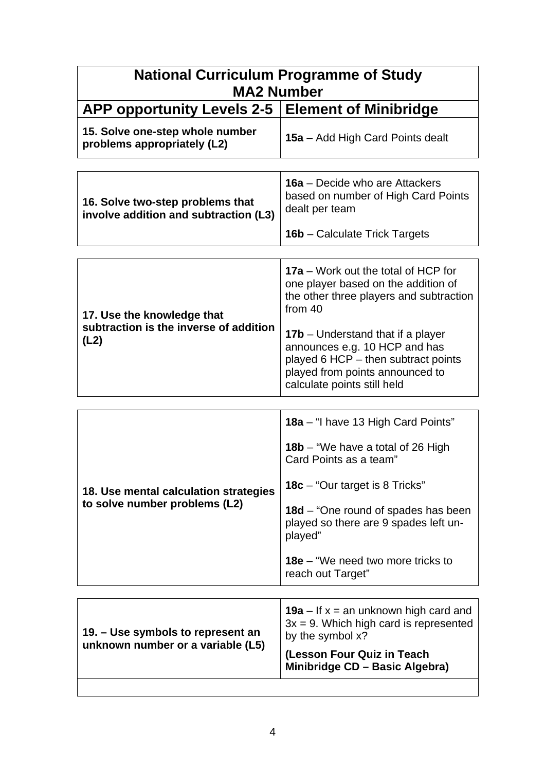| <b>National Curriculum Programme of Study</b><br><b>MA2 Number</b>           |                                                                                                                                                                                                                                                                                                                        |
|------------------------------------------------------------------------------|------------------------------------------------------------------------------------------------------------------------------------------------------------------------------------------------------------------------------------------------------------------------------------------------------------------------|
| <b>APP opportunity Levels 2-5</b>                                            | <b>Element of Minibridge</b>                                                                                                                                                                                                                                                                                           |
| 15. Solve one-step whole number<br>problems appropriately (L2)               | 15a – Add High Card Points dealt                                                                                                                                                                                                                                                                                       |
| 16. Solve two-step problems that<br>involve addition and subtraction (L3)    | <b>16a</b> – Decide who are Attackers<br>based on number of High Card Points<br>dealt per team<br><b>16b</b> – Calculate Trick Targets                                                                                                                                                                                 |
| 17. Use the knowledge that<br>subtraction is the inverse of addition<br>(L2) | 17a – Work out the total of HCP for<br>one player based on the addition of<br>the other three players and subtraction<br>from 40<br><b>17b</b> – Understand that if a player<br>announces e.g. 10 HCP and has<br>played 6 HCP - then subtract points<br>played from points announced to<br>calculate points still held |
| 18. Use mental calculation strategies<br>to solve number problems (L2)       | 18a - "I have 13 High Card Points"<br>18b – "We have a total of 26 High<br>Card Points as a team"<br><b>18c</b> – "Our target is 8 Tricks"<br><b>18d</b> – "One round of spades has been<br>played so there are 9 spades left un-<br>played"<br><b>18e</b> – "We need two more tricks to<br>reach out Target"          |
| 19. – Use symbols to represent an<br>unknown number or a variable (L5)       | <b>19a</b> – If $x =$ an unknown high card and<br>$3x = 9$ . Which high card is represented<br>by the symbol x?<br>(Lesson Four Quiz in Teach<br>Minibridge CD - Basic Algebra)                                                                                                                                        |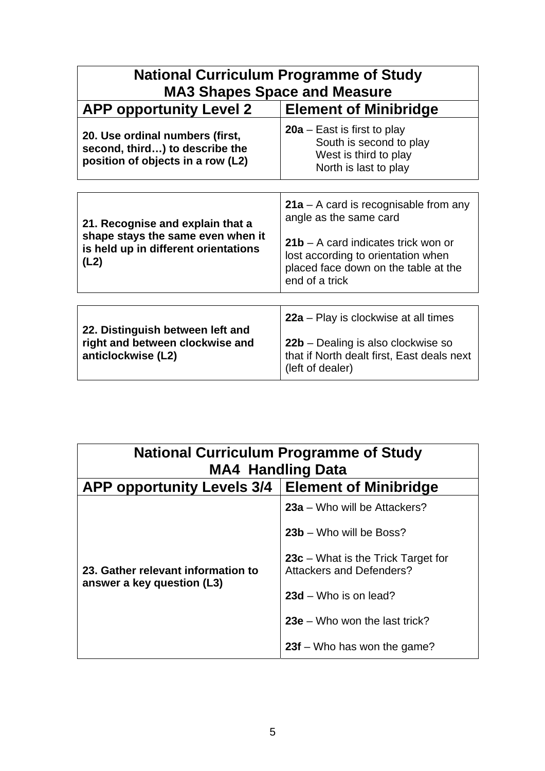| <b>National Curriculum Programme of Study</b><br><b>MA3 Shapes Space and Measure</b>                                  |                                                                                                                                                                                                            |
|-----------------------------------------------------------------------------------------------------------------------|------------------------------------------------------------------------------------------------------------------------------------------------------------------------------------------------------------|
| <b>APP opportunity Level 2</b>                                                                                        | <b>Element of Minibridge</b>                                                                                                                                                                               |
| 20. Use ordinal numbers (first,<br>second, third) to describe the<br>position of objects in a row (L2)                | <b>20a</b> – East is first to play<br>South is second to play<br>West is third to play<br>North is last to play                                                                                            |
|                                                                                                                       |                                                                                                                                                                                                            |
| 21. Recognise and explain that a<br>shape stays the same even when it<br>is held up in different orientations<br>(L2) | $21a - A$ card is recognisable from any<br>angle as the same card<br>$21b - A$ card indicates trick won or<br>lost according to orientation when<br>placed face down on the table at the<br>end of a trick |
|                                                                                                                       |                                                                                                                                                                                                            |
| 22. Distinguish between left and<br>right and between clockwise and<br>anticlockwise (L2)                             | 22a – Play is clockwise at all times<br>22b – Dealing is also clockwise so<br>that if North dealt first, East deals next<br>(left of dealer)                                                               |

| <b>National Curriculum Programme of Study</b><br><b>MA4 Handling Data</b> |                                                                         |
|---------------------------------------------------------------------------|-------------------------------------------------------------------------|
| APP opportunity Levels 3/4   Element of Minibridge                        |                                                                         |
| 23. Gather relevant information to<br>answer a key question (L3)          | 23a – Who will be Attackers?                                            |
|                                                                           | 23b - Who will be Boss?                                                 |
|                                                                           | $23c$ – What is the Trick Target for<br><b>Attackers and Defenders?</b> |
|                                                                           | $23d -$ Who is on lead?                                                 |
|                                                                           | $23e$ – Who won the last trick?                                         |
|                                                                           | $23f$ – Who has won the game?                                           |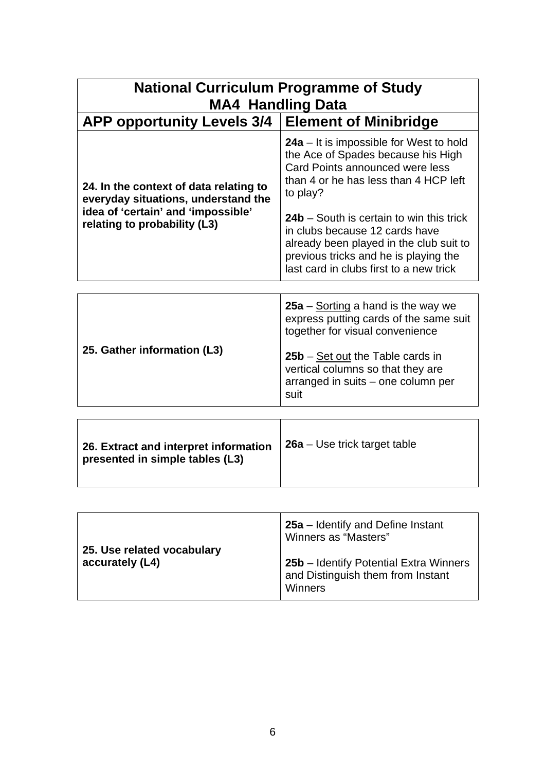| <b>National Curriculum Programme of Study</b><br><b>MA4 Handling Data</b>                                                                           |                                                                                                                                                                                                           |  |
|-----------------------------------------------------------------------------------------------------------------------------------------------------|-----------------------------------------------------------------------------------------------------------------------------------------------------------------------------------------------------------|--|
| <b>APP opportunity Levels 3/4</b>                                                                                                                   | <b>Element of Minibridge</b>                                                                                                                                                                              |  |
| 24. In the context of data relating to<br>everyday situations, understand the<br>idea of 'certain' and 'impossible'<br>relating to probability (L3) | <b>24a</b> – It is impossible for West to hold<br>the Ace of Spades because his High<br>Card Points announced were less<br>than 4 or he has less than 4 HCP left<br>to play?                              |  |
|                                                                                                                                                     | 24b – South is certain to win this trick<br>in clubs because 12 cards have<br>already been played in the club suit to<br>previous tricks and he is playing the<br>last card in clubs first to a new trick |  |
|                                                                                                                                                     |                                                                                                                                                                                                           |  |
| 25. Gather information (L3)                                                                                                                         | $25a -$ Sorting a hand is the way we<br>express putting cards of the same suit<br>together for visual convenience                                                                                         |  |
|                                                                                                                                                     | <b>25b</b> – Set out the Table cards in<br>vertical columns so that they are                                                                                                                              |  |

| 26. Extract and interpret information<br>presented in simple tables (L3) | $26a - Use$ trick target table |
|--------------------------------------------------------------------------|--------------------------------|
|                                                                          |                                |

suit

arranged in suits – one column per

| 25. Use related vocabulary | 25a – Identify and Define Instant<br>Winners as "Masters"                              |
|----------------------------|----------------------------------------------------------------------------------------|
| accurately (L4)            | 25b – Identify Potential Extra Winners<br>and Distinguish them from Instant<br>Winners |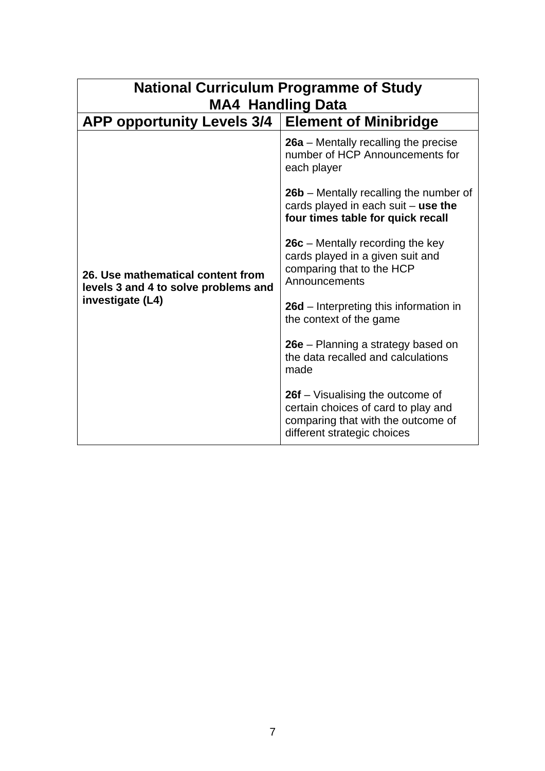| <b>National Curriculum Programme of Study</b><br><b>MA4 Handling Data</b>                     |                                                                                                                                              |
|-----------------------------------------------------------------------------------------------|----------------------------------------------------------------------------------------------------------------------------------------------|
| APP opportunity Levels 3/4   Element of Minibridge                                            |                                                                                                                                              |
| 26. Use mathematical content from<br>levels 3 and 4 to solve problems and<br>investigate (L4) | $26a$ – Mentally recalling the precise<br>number of HCP Announcements for<br>each player                                                     |
|                                                                                               | 26b – Mentally recalling the number of<br>cards played in each suit $-$ use the<br>four times table for quick recall                         |
|                                                                                               | $26c$ – Mentally recording the key<br>cards played in a given suit and<br>comparing that to the HCP<br>Announcements                         |
|                                                                                               | 26d – Interpreting this information in<br>the context of the game                                                                            |
|                                                                                               | 26e – Planning a strategy based on<br>the data recalled and calculations<br>made                                                             |
|                                                                                               | 26f – Visualising the outcome of<br>certain choices of card to play and<br>comparing that with the outcome of<br>different strategic choices |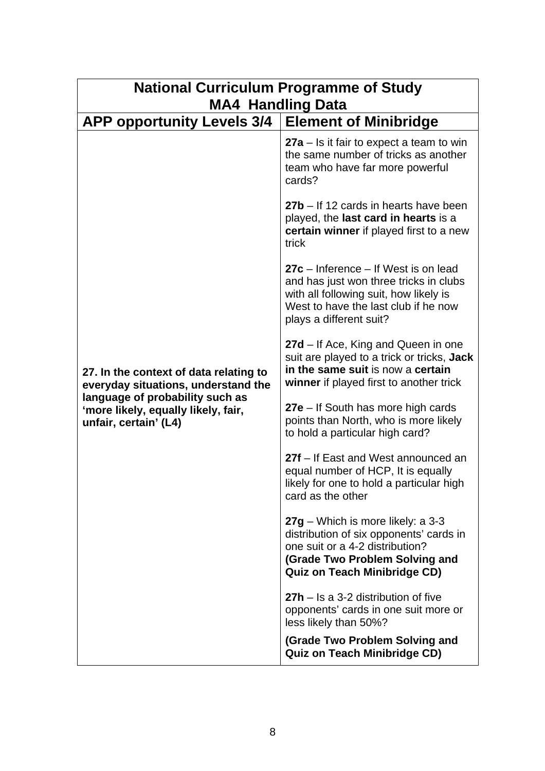| <b>National Curriculum Programme of Study</b>                                                                                                                                    |                                                                                                                                                                                               |
|----------------------------------------------------------------------------------------------------------------------------------------------------------------------------------|-----------------------------------------------------------------------------------------------------------------------------------------------------------------------------------------------|
| <b>MA4 Handling Data</b><br><b>APP opportunity Levels 3/4</b>                                                                                                                    | <b>Element of Minibridge</b>                                                                                                                                                                  |
| 27. In the context of data relating to<br>everyday situations, understand the<br>language of probability such as<br>'more likely, equally likely, fair,<br>unfair, certain' (L4) | $27a - Is$ it fair to expect a team to win<br>the same number of tricks as another<br>team who have far more powerful<br>cards?                                                               |
|                                                                                                                                                                                  | 27b – If 12 cards in hearts have been<br>played, the last card in hearts is a<br>certain winner if played first to a new<br>trick                                                             |
|                                                                                                                                                                                  | $27c$ – Inference – If West is on lead<br>and has just won three tricks in clubs<br>with all following suit, how likely is<br>West to have the last club if he now<br>plays a different suit? |
|                                                                                                                                                                                  | 27d – If Ace, King and Queen in one<br>suit are played to a trick or tricks, Jack<br>in the same suit is now a certain<br>winner if played first to another trick                             |
|                                                                                                                                                                                  | 27e – If South has more high cards<br>points than North, who is more likely<br>to hold a particular high card?                                                                                |
|                                                                                                                                                                                  | 27f - If East and West announced an<br>equal number of HCP, It is equally<br>likely for one to hold a particular high<br>card as the other                                                    |
|                                                                                                                                                                                  | $27g$ – Which is more likely: a 3-3<br>distribution of six opponents' cards in<br>one suit or a 4-2 distribution?<br>(Grade Two Problem Solving and<br><b>Quiz on Teach Minibridge CD)</b>    |
|                                                                                                                                                                                  | $27h -$ Is a 3-2 distribution of five<br>opponents' cards in one suit more or<br>less likely than 50%?                                                                                        |
|                                                                                                                                                                                  | (Grade Two Problem Solving and<br><b>Quiz on Teach Minibridge CD)</b>                                                                                                                         |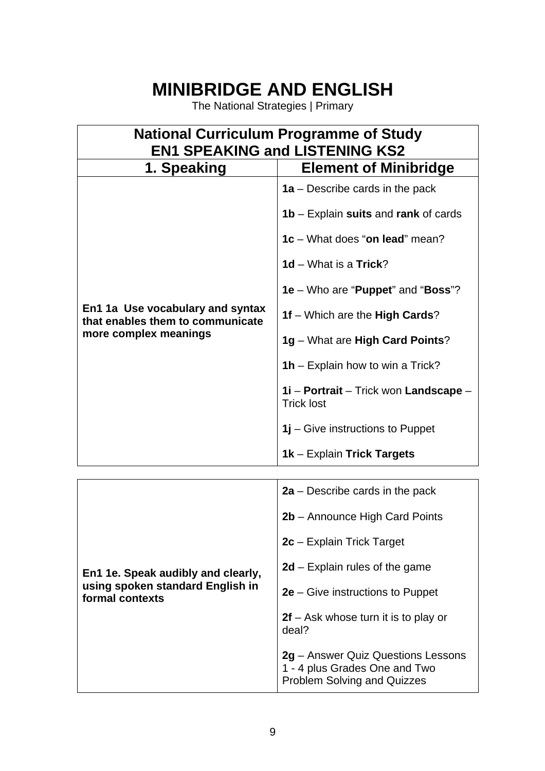## **MINIBRIDGE AND ENGLISH**

The National Strategies | Primary

| <b>National Curriculum Programme of Study</b><br><b>EN1 SPEAKING and LISTENING KS2</b>        |                                                                                                                                                                                                                                                                                                                                                                                                  |
|-----------------------------------------------------------------------------------------------|--------------------------------------------------------------------------------------------------------------------------------------------------------------------------------------------------------------------------------------------------------------------------------------------------------------------------------------------------------------------------------------------------|
| 1. Speaking                                                                                   | <b>Element of Minibridge</b>                                                                                                                                                                                                                                                                                                                                                                     |
| En1 1a Use vocabulary and syntax<br>that enables them to communicate<br>more complex meanings | 1a – Describe cards in the pack<br><b>1b</b> – Explain <b>suits</b> and rank of cards<br>1c – What does "on lead" mean?<br>1d – What is a Trick?<br>1e – Who are "Puppet" and "Boss"?<br>1f – Which are the High Cards?<br>1g – What are High Card Points?<br>1h – Explain how to win a Trick?<br>1i - Portrait - Trick won Landscape -<br><b>Trick lost</b><br>1j – Give instructions to Puppet |
|                                                                                               | 1k - Explain Trick Targets                                                                                                                                                                                                                                                                                                                                                                       |

| En1 1e. Speak audibly and clearly,<br>using spoken standard English in<br>formal contexts | $2a$ – Describe cards in the pack                                                                         |
|-------------------------------------------------------------------------------------------|-----------------------------------------------------------------------------------------------------------|
|                                                                                           | 2b - Announce High Card Points                                                                            |
|                                                                                           | 2c - Explain Trick Target                                                                                 |
|                                                                                           | $2d$ – Explain rules of the game                                                                          |
|                                                                                           | $2e$ – Give instructions to Puppet                                                                        |
|                                                                                           | $2f$ – Ask whose turn it is to play or<br>deal?                                                           |
|                                                                                           | 2g – Answer Quiz Questions Lessons<br>1 - 4 plus Grades One and Two<br><b>Problem Solving and Quizzes</b> |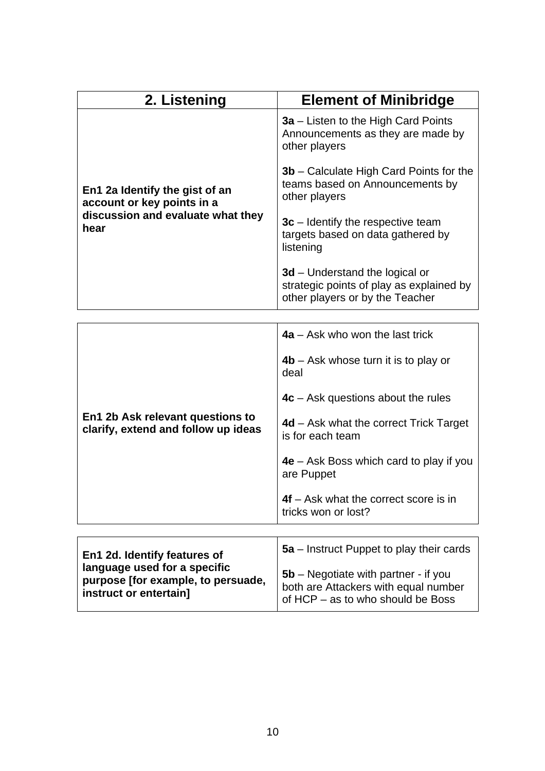| 2. Listening                                                                                              | <b>Element of Minibridge</b>                                                                                    |
|-----------------------------------------------------------------------------------------------------------|-----------------------------------------------------------------------------------------------------------------|
| En1 2a Identify the gist of an<br>account or key points in a<br>discussion and evaluate what they<br>hear | 3a – Listen to the High Card Points<br>Announcements as they are made by<br>other players                       |
|                                                                                                           | <b>3b</b> – Calculate High Card Points for the<br>teams based on Announcements by<br>other players              |
|                                                                                                           | $3c$ – Identify the respective team<br>targets based on data gathered by<br>listening                           |
|                                                                                                           | $3d$ – Understand the logical or<br>strategic points of play as explained by<br>other players or by the Teacher |
|                                                                                                           |                                                                                                                 |

|                                                                         | $4a - Ask$ who won the last trick                              |
|-------------------------------------------------------------------------|----------------------------------------------------------------|
|                                                                         | $4b$ – Ask whose turn it is to play or<br>deal                 |
|                                                                         | $4c - Ask$ questions about the rules                           |
| En1 2b Ask relevant questions to<br>clarify, extend and follow up ideas | $4d$ – Ask what the correct Trick Target<br>is for each team   |
|                                                                         | $4e$ – Ask Boss which card to play if you<br>are Puppet        |
|                                                                         | $4f - Ask$ what the correct score is in<br>tricks won or lost? |
|                                                                         |                                                                |
| En1 2d. Identify features of<br>languang usad for a specific            | 5a – Instruct Puppet to play their cards                       |

| En1 2d. Identify features of       | 5a – Instruct Puppet to play their cards |
|------------------------------------|------------------------------------------|
| language used for a specific       | $5b$ – Negotiate with partner - if you   |
| purpose [for example, to persuade, | both are Attackers with equal number     |
| instruct or entertain]             | of HCP – as to who should be Boss        |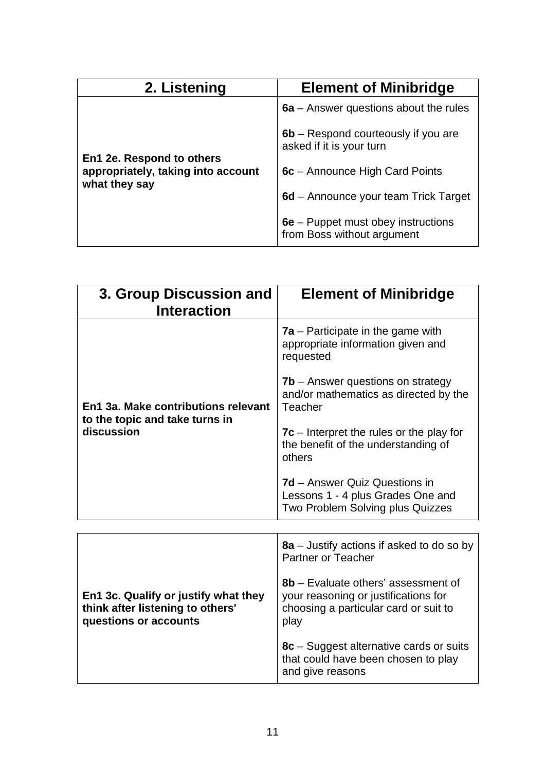| 2. Listening                                                                     | <b>Element of Minibridge</b>                                      |
|----------------------------------------------------------------------------------|-------------------------------------------------------------------|
| En1 2e. Respond to others<br>appropriately, taking into account<br>what they say | $6a$ – Answer questions about the rules                           |
|                                                                                  | $6b$ – Respond courteously if you are<br>asked if it is your turn |
|                                                                                  | 6c – Announce High Card Points                                    |
|                                                                                  | 6d – Announce your team Trick Target                              |
|                                                                                  | 6e – Puppet must obey instructions<br>from Boss without argument  |

| 3. Group Discussion and<br><b>Interaction</b>                                       | <b>Element of Minibridge</b>                                                                                         |
|-------------------------------------------------------------------------------------|----------------------------------------------------------------------------------------------------------------------|
| En1 3a. Make contributions relevant<br>to the topic and take turns in<br>discussion | <b>7a</b> – Participate in the game with<br>appropriate information given and<br>requested                           |
|                                                                                     | $7b$ – Answer questions on strategy<br>and/or mathematics as directed by the<br>Teacher                              |
|                                                                                     | $7c$ – Interpret the rules or the play for<br>the benefit of the understanding of<br>others                          |
|                                                                                     | 7d – Answer Quiz Questions in<br>Lessons 1 - 4 plus Grades One and<br>Two Problem Solving plus Quizzes               |
|                                                                                     |                                                                                                                      |
|                                                                                     | 8a – Justify actions if asked to do so by<br><b>Partner or Teacher</b>                                               |
| En1 3c. Qualify or justify what they<br>think after listening to others'            | 8b - Evaluate others' assessment of<br>your reasoning or justifications for<br>choosing a particular card or suit to |

play

and give reasons

**8c** – Suggest alternative cards or suits that could have been chosen to play

**questions or accounts**